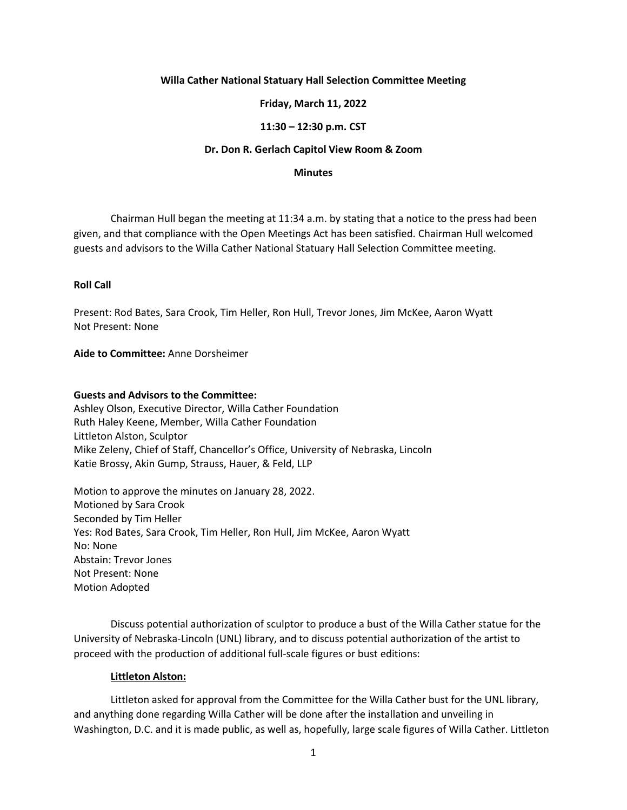# **Willa Cather National Statuary Hall Selection Committee Meeting**

# **Friday, March 11, 2022**

# **11:30 – 12:30 p.m. CST**

### **Dr. Don R. Gerlach Capitol View Room & Zoom**

#### **Minutes**

Chairman Hull began the meeting at 11:34 a.m. by stating that a notice to the press had been given, and that compliance with the Open Meetings Act has been satisfied. Chairman Hull welcomed guests and advisors to the Willa Cather National Statuary Hall Selection Committee meeting.

### **Roll Call**

Present: Rod Bates, Sara Crook, Tim Heller, Ron Hull, Trevor Jones, Jim McKee, Aaron Wyatt Not Present: None

# **Aide to Committee:** Anne Dorsheimer

### **Guests and Advisors to the Committee:**

Ashley Olson, Executive Director, Willa Cather Foundation Ruth Haley Keene, Member, Willa Cather Foundation Littleton Alston, Sculptor Mike Zeleny, Chief of Staff, Chancellor's Office, University of Nebraska, Lincoln Katie Brossy, Akin Gump, Strauss, Hauer, & Feld, LLP

Motion to approve the minutes on January 28, 2022. Motioned by Sara Crook Seconded by Tim Heller Yes: Rod Bates, Sara Crook, Tim Heller, Ron Hull, Jim McKee, Aaron Wyatt No: None Abstain: Trevor Jones Not Present: None Motion Adopted

Discuss potential authorization of sculptor to produce a bust of the Willa Cather statue for the University of Nebraska-Lincoln (UNL) library, and to discuss potential authorization of the artist to proceed with the production of additional full-scale figures or bust editions:

### **Littleton Alston:**

Littleton asked for approval from the Committee for the Willa Cather bust for the UNL library, and anything done regarding Willa Cather will be done after the installation and unveiling in Washington, D.C. and it is made public, as well as, hopefully, large scale figures of Willa Cather. Littleton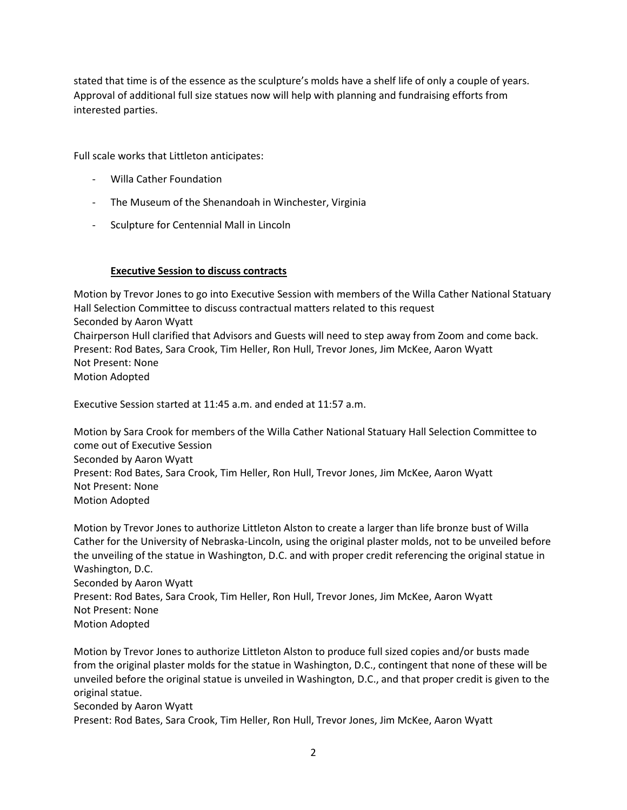stated that time is of the essence as the sculpture's molds have a shelf life of only a couple of years. Approval of additional full size statues now will help with planning and fundraising efforts from interested parties.

Full scale works that Littleton anticipates:

- Willa Cather Foundation
- The Museum of the Shenandoah in Winchester, Virginia
- Sculpture for Centennial Mall in Lincoln

# **Executive Session to discuss contracts**

Motion by Trevor Jones to go into Executive Session with members of the Willa Cather National Statuary Hall Selection Committee to discuss contractual matters related to this request Seconded by Aaron Wyatt Chairperson Hull clarified that Advisors and Guests will need to step away from Zoom and come back. Present: Rod Bates, Sara Crook, Tim Heller, Ron Hull, Trevor Jones, Jim McKee, Aaron Wyatt Not Present: None Motion Adopted

Executive Session started at 11:45 a.m. and ended at 11:57 a.m.

Motion by Sara Crook for members of the Willa Cather National Statuary Hall Selection Committee to come out of Executive Session Seconded by Aaron Wyatt Present: Rod Bates, Sara Crook, Tim Heller, Ron Hull, Trevor Jones, Jim McKee, Aaron Wyatt Not Present: None Motion Adopted

Motion by Trevor Jones to authorize Littleton Alston to create a larger than life bronze bust of Willa Cather for the University of Nebraska-Lincoln, using the original plaster molds, not to be unveiled before the unveiling of the statue in Washington, D.C. and with proper credit referencing the original statue in Washington, D.C. Seconded by Aaron Wyatt Present: Rod Bates, Sara Crook, Tim Heller, Ron Hull, Trevor Jones, Jim McKee, Aaron Wyatt Not Present: None Motion Adopted

Motion by Trevor Jones to authorize Littleton Alston to produce full sized copies and/or busts made from the original plaster molds for the statue in Washington, D.C., contingent that none of these will be unveiled before the original statue is unveiled in Washington, D.C., and that proper credit is given to the original statue.

Seconded by Aaron Wyatt

Present: Rod Bates, Sara Crook, Tim Heller, Ron Hull, Trevor Jones, Jim McKee, Aaron Wyatt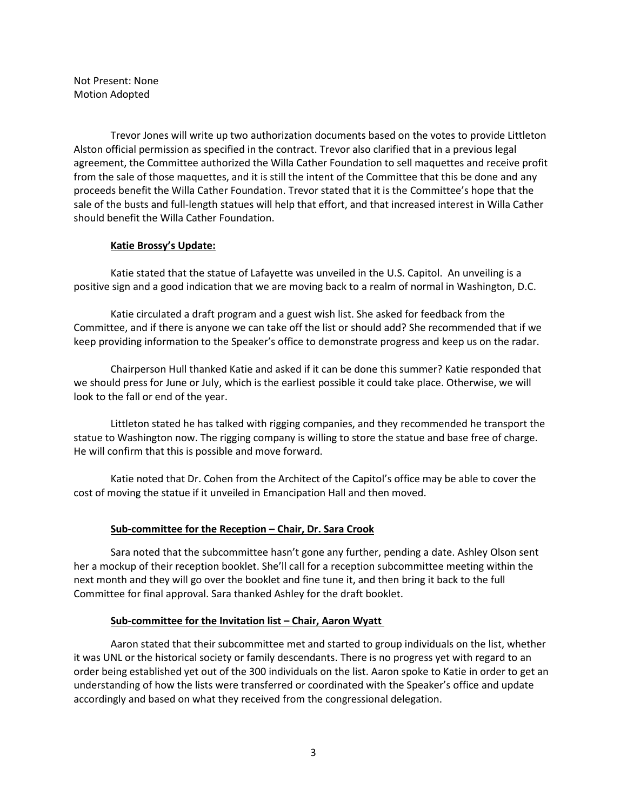Not Present: None Motion Adopted

Trevor Jones will write up two authorization documents based on the votes to provide Littleton Alston official permission as specified in the contract. Trevor also clarified that in a previous legal agreement, the Committee authorized the Willa Cather Foundation to sell maquettes and receive profit from the sale of those maquettes, and it is still the intent of the Committee that this be done and any proceeds benefit the Willa Cather Foundation. Trevor stated that it is the Committee's hope that the sale of the busts and full-length statues will help that effort, and that increased interest in Willa Cather should benefit the Willa Cather Foundation.

### **Katie Brossy's Update:**

Katie stated that the statue of Lafayette was unveiled in the U.S. Capitol. An unveiling is a positive sign and a good indication that we are moving back to a realm of normal in Washington, D.C.

Katie circulated a draft program and a guest wish list. She asked for feedback from the Committee, and if there is anyone we can take off the list or should add? She recommended that if we keep providing information to the Speaker's office to demonstrate progress and keep us on the radar.

Chairperson Hull thanked Katie and asked if it can be done this summer? Katie responded that we should press for June or July, which is the earliest possible it could take place. Otherwise, we will look to the fall or end of the year.

Littleton stated he has talked with rigging companies, and they recommended he transport the statue to Washington now. The rigging company is willing to store the statue and base free of charge. He will confirm that this is possible and move forward.

Katie noted that Dr. Cohen from the Architect of the Capitol's office may be able to cover the cost of moving the statue if it unveiled in Emancipation Hall and then moved.

### **Sub‐committee for the Reception – Chair, Dr. Sara Crook**

Sara noted that the subcommittee hasn't gone any further, pending a date. Ashley Olson sent her a mockup of their reception booklet. She'll call for a reception subcommittee meeting within the next month and they will go over the booklet and fine tune it, and then bring it back to the full Committee for final approval. Sara thanked Ashley for the draft booklet.

### **Sub‐committee for the Invitation list – Chair, Aaron Wyatt**

Aaron stated that their subcommittee met and started to group individuals on the list, whether it was UNL or the historical society or family descendants. There is no progress yet with regard to an order being established yet out of the 300 individuals on the list. Aaron spoke to Katie in order to get an understanding of how the lists were transferred or coordinated with the Speaker's office and update accordingly and based on what they received from the congressional delegation.